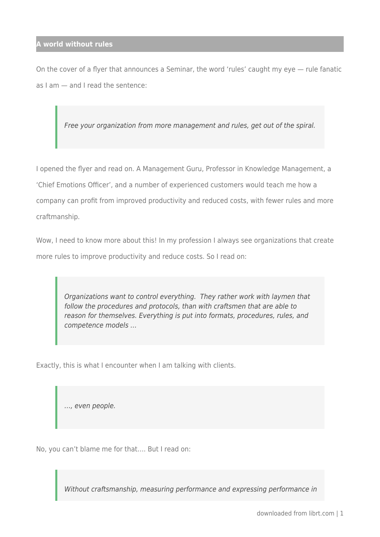On the cover of a flyer that announces a Seminar, the word 'rules' caught my eye — rule fanatic as I am — and I read the sentence:

Free your organization from more management and rules, get out of the spiral.

I opened the flyer and read on. A Management Guru, Professor in Knowledge Management, a 'Chief Emotions Officer', and a number of experienced customers would teach me how a company can profit from improved productivity and reduced costs, with fewer rules and more craftmanship.

Wow, I need to know more about this! In my profession I always see organizations that create more rules to improve productivity and reduce costs. So I read on:

Organizations want to control everything. They rather work with laymen that follow the procedures and protocols, than with craftsmen that are able to reason for themselves. Everything is put into formats, procedures, rules, and competence models …

Exactly, this is what I encounter when I am talking with clients.

…, even people.

No, you can't blame me for that…. But I read on:

Without craftsmanship, measuring performance and expressing performance in